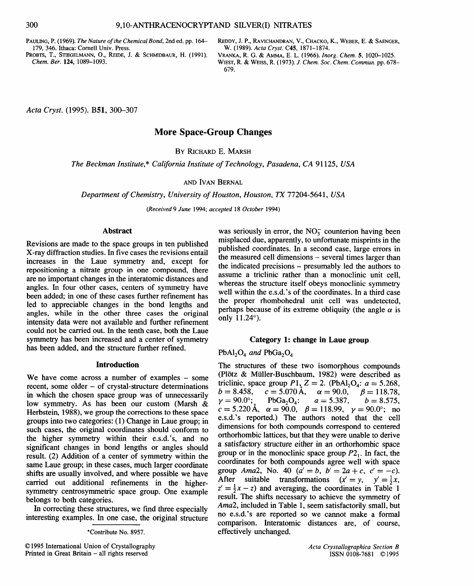PAULING, P. (1969). *The Nature of the Chemical Bond,* 2nd ed. pp. 164- 179, 346. Ithaca: Cornell Univ. Press.

PROBTS, T., STIEGELMANN, O., REIDE, J. & SCHMIDBAUR, H. (1991). *Chem. Ber.* 124, 1089-1093.

REDDY, J.P., RAVICHANDRAN, V., CHACKO, K., WEBER, E. & SAENGER, W. (1989). *Acta Cryst.* C4S, 1871-1874.

VRANKA, R. G. & AMMA, E. L. (1966). *lnorg. Chem.* S, 1020-1025. WIEST, R. & WEISS, R. (1973). *J. Chem. Soc. Chem. Commun.* pp. 678- 679.

*Acta Cryst.* (1995). B51, 300-307

# More Space-Group Changes

BY RICHARD E. MARSH

*The Beckman Institute,\* California Institute of Technology, Pasadena, CA* 91125, *USA* 

#### AND IVAN BERNAL

*Department of Chemistry, University of Houston, Houston, TX* 77204-5641, *USA* 

*(Received* 9 *June* 1994; *accepted* 18 *October* 1994)

#### Abstract

Revisions are made to the space groups in ten published X-ray diffraction studies. In five cases the revisions entail increases in the Laue symmetry and, except for repositioning a nitrate group in one compound, there are no important changes in the interatomic distances and angles. In four other cases, centers of symmetry have been added; in one of these cases further refinement has led to appreciable changes in the bond lengths and angles, while in the other three cases the original intensity data were not available and further refinement could not be carried out. In the tenth case, both the Laue symmetry has been increased and a center of symmetry has been added, and the structure further refined.

#### Introduction

We have come across a number of examples – some recent, some older – of crystal-structure determinations in which the chosen space group was of unnecessarily low symmetry. As has been our custom (Marsh & Herbstein, 1988), we group the corrections to these space groups into two categories: ( 1) Change in Laue group; in such cases, the original coordinates should conform to the higher symmetry within their e.s.d. 's, and no significant changes in bond lengths or angles should result. (2) Addition of a center of symmetry within the same Laue group; in these cases, much larger coordinate shifts are usually involved, and where possible we have carried out additional refinements in the highersymmetry centrosymmetric space group. One example belongs to both categories.

In correcting these structures, we find three especially mteresting examples. In one case, the original structure

\*Contribute No. 8957.

was seriously in error, the  $NO<sub>3</sub><sup>-</sup>$  counterion having been misplaced due, apparently, to unfortunate misprints in the published coordinates. In a second case, large errors in the measured cell dimensions - several times larger than the indicated precisions - presumably led the authors to assume a triclinic rather than a monoclinic unit cell whereas the structure itself obeys monoclinic symmetry well within the e.s.d. 's of the coordinates. In a third case the proper rhombohedral unit cell was undetected perhaps because of its extreme obliquity (the angle  $\alpha$  is only 11.24°).

#### Category 1: change in Laue group

# $PbAl<sub>2</sub>O<sub>4</sub>$  and  $PbGa<sub>2</sub>O<sub>4</sub>$

The structures of these two isomorphous compounds (Plötz & Müller-Buschbaum, 1982) were described as triclinic, space group  $P1$ ,  $Z = 2$ . (PbAl<sub>2</sub>O<sub>4</sub>:  $a = 5.268$ ,  $b = 8.458$ ,  $c = 5.070$  Å,  $\alpha = 90.0$ ,  $\beta = 118.78$ ,  $v = 90.0^{\circ}$ ; PbGa<sub>2</sub>O<sub>4</sub>:  $a = 5.387$ ,  $b = 8.575$ ,  $c = 5.220 \text{ Å}, \alpha = 90.0, \beta = 118.99, \gamma = 90.0^{\circ}; \text{no}$ e.s.d.'s reported.) The authors noted that the cell dimensions for both compounds correspond to centered orthorhombic lattices, but that they were unable to derive a satisfactory structure either in an orthorhombic space group or in the monoclinic space group  $P2<sub>1</sub>$ . In fact, the coordinates for both compounds agree well with space group *Ama2*, No. 40  $(a' = b, b' = 2a + c, c' = -c)$ . After suitable transformations  $(x' = y, y' = \frac{1}{2}x,$  $z' = \frac{1}{2}x - z$ ) and averaging, the coordinates in Table 1 result. The shifts necessary to achieve the symmetry of *Ama2,* included in Table 1, seem satisfactorily small, but no e.s.d. 's are reported so we cannot make a formal comparison. lnteratomic distances are, of course, effectively unchanged.

<sup>© 1995</sup> International Union of Crystallography Printed in Great Britain - all rights reserved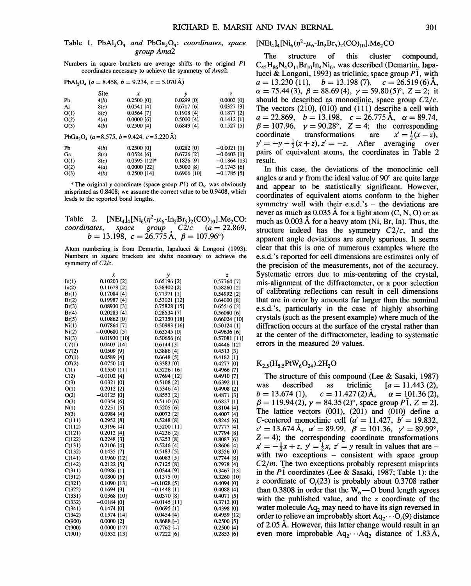### Table 1. PbAl<sub>2</sub>O<sub>4</sub> and PbGa<sub>2</sub>O<sub>4</sub>: *coordinates*, *space group Ama2*

Numbers in square brackets are average shifts to the original Pl coordinates necessary to achieve the symmetry of *Ama2.* 

|      | Site | x            |              | z            |
|------|------|--------------|--------------|--------------|
| Pb   | 4(b) | 0.2500 [0]   | $0.0299$ [0] | $0.0003$ [0] |
| Al   | 8(c) | $0.0541$ [4] | $0.6717$ [6] | 0.0327 [3]   |
| O(1) | 8(c) | 0.0564 [7]   | $0.1908$ [4] | $0.1877$ [2] |
| O(2) | 4(a) | $0.0000$ [6] | $0.5000$ [4] | $0.1412$ [1] |
| O(3) | 4(b) | $0.2500$ [4] | $0.6849$ [4] | $0.1527$ [5] |

| Pb   | 4(b) | $0.2500$ [0]   | $0.0282$ [0]  | $-0.0021$ [1]  |
|------|------|----------------|---------------|----------------|
| Gа   | 8(c) | $0.0524$ [6]   | $0.6726$ [2]  | $-0.0403$ [1]  |
| O(1) | 8(c) | $0.0595$ [12]* | 0.1826 [9]    | $-0.1864$ [13] |
| O(2) | 4(a) | $0.0000$ [22]  | $0.5000$ [8]  | $-0.1743$ [6]  |
| O(3) | 4(b) | $0.2500$ [14]  | $0.6906$ [10] | $-0.1785$ [5]  |

\* The original *y* coordinate (space group *P*1) of  $O_V$  was obviously misprinted as 0.8408; we assume the correct value to be 0.9408, which leads to the reported bond lengths.

Table 2.  $[NEt_4]_4[Ni_6(\eta^2-\mu_6-In_2Br_5)_2(CO)_{10}]$ .Me<sub>2</sub>CO:<br>coordinates, space group C2/c (a = 22.869, *coordinates, space group* C2/c *(a=* 22.869,  $b = 13.198$ ,  $c = 26.775$  Å,  $\beta = 107.96^{\circ}$ 

Atom numbering is from Demartin, lapalucci & Longoni (1993). Numbers in square brackets are shifts necessary to achieve the symmetry of C2/c.

|        | x              | у              | z              |
|--------|----------------|----------------|----------------|
| In(1)  | $0.10203$ [2]  | 0.65196 [2]    | $0.57764$ [7]  |
| In(2)  | $0.11678$ [2]  | $0.38402$ [2]  | $0.58260$ [2]  |
| Br(1)  | 0.17084[4]     | $0.77971$ [1]  | $0.54992$ [2]  |
| Br(2)  | 0.19987[4]     | $0.53021$ [12] | $0.64000$ [8]  |
| Br(3)  | 0.08930 [3]    | $0.75828$ [15] | $0.65516$ [2]  |
| Br(4)  | $0.20283$ [4]  | $0.28534$ [7]  | 0.56080[6]     |
| Br(5)  | $0.10862$ [0]  | $0.27350$ [18] | $0.66024$ [10] |
| Ni(1)  | 0.07864 [7]    | $0.50983$ [16] | $0.50124$ [1]  |
| Ni(2)  | $-0.00680$ [5] | $0.63545$ [0]  | 0.49636 [6]    |
| Ni(3)  | 0.01930 [10]   | $0.50656$ [6]  | $0.57081$ [11] |
| CT(1)  | $0.0403$ [14]  | 0.6144 [3]     | $0.4446$ [12]  |
| CT(2)  | 0.0509 [9]     | $0.3886$ [4]   | $0.4513$ [3]   |
| OT(1)  | 0.0589[4]      | 0.6648 [5]     | $0.4182$ [1]   |
| OT(2)  | $0.0750$ [4]   | $0.3383$ [0]   | $0.4277$ [0]   |
| C(1)   | $0.1550$ [11]  | $0.5226$ [16]  | $0.4966$ [7]   |
| C(2)   | $-0.0102$ [4]  | 0.7694 [12]    | $0.4910$ [7]   |
| C(3)   | $0.0321$ [0]   | $0.5108$ [2]   | $0.6392$ [1]   |
| O(1)   | $0.2012$ [2]   | 0.5346[4]      | $0.4908$ [2]   |
| O(2)   | $-0.0125$ [0]  | $0.8553$ [2]   | 0.4871[3]      |
| O(3)   | 0.0354[6]      | 0.5110[6]      | $0.6827$ [1]   |
| N(1)   | $0.2251$ [5]   | $0.5205$ [6]   | $0.8104$ [4]   |
| N(3)   | 0.0984[4]      | $0.0073$ [2]   | $0.4007$ [4]   |
| C(111) | 0.2952[8]      | $0.5248$ [8]   | 0.8245[6]      |
| C(112) | $0.3196$ [4]   | $0.5200$ [11]  | 0.7777[4]      |
| C(121) | $0.2012$ [4]   | 0.4236 [2]     | 0.7794 [8]     |
| C(122) | 0.2248[3]      | 0.3253 [8]     | $0.8087$ [6]   |
| C(131) | $0.2106$ [4]   | 0.5246[4]      | $0.8606$ [4]   |
| C(132) | $0.1435$ [7]   | $0.5183$ [5]   | 0.8556 [0]     |
| C(141) | $0.1960$ [12]  | 0.6083 [5]     | $0.7744$ [8]   |
| C(142) | $0.2122$ [5]   | $0.7125$ [8]   | $0.7978$ [4]   |
| C(311) | $0.0986$ [1]   | 0.0344 [9]     | $0.3467$ [13]  |
| C(312) | $0.0800$ [5]   | $0.1375$ [0]   | $0.3260$ [10]  |
| C(321) | $0.1090$ [13]  | $-0.1028$ [5]  | 0.4094 [0]     |
| C(322) | $0.1694$ [3]   | $-0.1448$ [1]  | 0.4088[4]      |
| C(331) | $0.0368$ [10]  | 0.0370 [8]     | $0.4071$ [5]   |
| C(332) | $-0.0184$ [0]  | $-0.0145$ [11] | $0.3712$ [0]   |
| C(341) | $0.1474$ [0]   | $0.0695$ [1]   | $0.4398$ [0]   |
| C(342) | $0.1574$ [14]  | 0.0454[4]      | 0.4959 [12]    |
| O(900) | $0.0000$ [2]   | $0.8688[-]$    | $0.2500$ [5]   |
| C(900) | $0.0000$ [12]  | $0.7762$ [-]   | $0.2500$ [4]   |
| C(901) | 0.0532 [13]    | $0.7222$ [6]   | 0.2853[6]      |

$$
[NEt_4]_4[Ni_6(\eta^2-\mu_6-In_2Br_5)_2(CO)_{10}].Me_2CO
$$

The structure of this cluster compound,  $C_{45}H_{86}N_{4}O_{11}Br_{10}In_{4}Ni_{6}$ , was described (Demartin, Iapalucci & Longoni, 1993) as triclinic, space group  $P1$ , with  $a = 13.230$  (11),  $b = 13.198$  (7),  $c = 26.519$  (6) Å,  $\alpha = 75.44(3), \ \beta = 88.69(4), \ \gamma = 59.80(5)^\circ, \ Z = 2; \$ it should be described as monoclinic, space group  $C2/c$ . The vectors (210), (010) and (111) describe a cell with *a=* 22.869, *<sup>b</sup>*= 13.198, *c* = 26.775A, *a=* 89.74,  $\beta = 107.96, \gamma = 90.28^{\circ}, \mathbb{Z} = 4$ ; the corresponding coordinate transformations are  $x' = \frac{1}{2}(x - z)$ , coordinate transformations are  $x' = \frac{1}{2}(x - z)$ ,  $y' = -y - \frac{1}{2}(x + z)$ ,  $z' = -z$ . After averaging over pairs of equivalent atoms, the coordinates in Table 2 result.

In this case, the deviations of the monoclinic cell angles  $\alpha$  and  $\gamma$  from the ideal value of 90° are quite large and appear to be statistically significant. However, coordinates of equivalent atoms conform to the higher symmetry well with their e.s.d.'s  $-$  the deviations are never as much as  $0.035$  Å for a light atom  $(C, N, O)$  or as much as  $0.003 \text{ Å}$  for a heavy atom (Ni, Br, In). Thus, the structure indeed has the symmetry  $C2/c$ , and the apparent angle deviations are surely spurious. It seems clear that this is one of numerous examples where the e.s.d. 's reported for cell dimensions are estimates only of the precision of the measurements, not of the accuracy. Systematic errors due to mis-centering of the crystal, mis-alignment of the diffractometer, or a poor selection of calibrating reflections can result in cell dimensions that are in error by amounts far larger than the nominal e.s.d. 's, particularly in the case of highly absorbing crystals (such as the present example) where much of the diffraction occurs at the surface of the crystal rather than at the center of the diffractometer, leading to systematic errors in the measured  $2\theta$  values.

# $K_{2.5}$ (H<sub>5.5</sub>PtW<sub>6</sub>O<sub>24</sub>).2H<sub>2</sub>O

The structure of this compound (Lee  $&$  Sasaki, 1987) was described as triclinic  $[a = 11.443 (2),$ <br>  $b = 13.674 (1),$   $c = 11.427 (2)$  Å,  $\alpha = 101.36 (2),$  $c = 11.427(2)$  Å,  $\beta = 119.94 \, (2), \gamma = 84.35 \, (2)^\circ,$  space group  $P\overline{1}, Z = 2$ . The lattice vectors (001), (201) and (010) define a C-centered monoclinic cell ( $a' = 11.427$ ,  $b' = 19.832$ ,  $c' = 13.674 \text{ Å}, \ \alpha' = 89.99, \ \beta' = 101.36, \ \gamma' = 89.99^{\circ},$  $Z = 4$ ; the corresponding coordinate transformations  $x' = -\frac{1}{2}x + z$ ,  $y' = \frac{1}{2}x$ ,  $z' = y$  result in values that are with two exceptions  $-$  consistent with space group *C2/m.* The two exceptions probably represent misprints in the *Pl* coordinates (Lee & Sasaki, 1987; Table 1): the *z* coordinate of  $O<sub>t</sub>(23)$  is probably about 0.3708 rather than 0.3808 in order that the  $W_6$  - O bond length agrees with the published value, and the *z* coordinate of the water molecule  $Aq_2$  may need to have its sign reversed in order to relieve an improbably short  $Aq_2 \cdots Q_i(9)$  distance of 2.05 A. However, this latter change would result in an even more improbable  $Aq_2 \cdots Aq_2$  distance of 1.83 Å,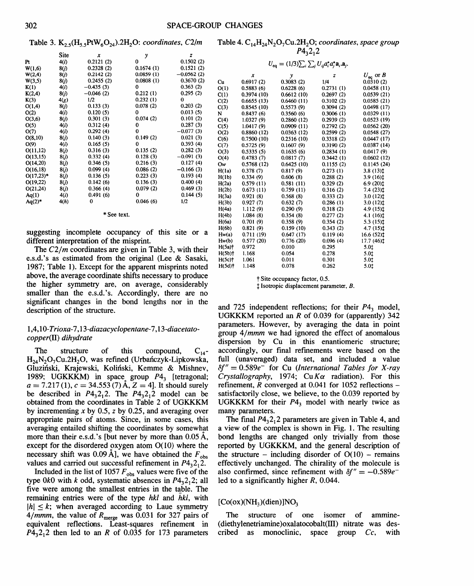Table 3. K2. 5(H5. 5PtW60 24).2H20: *coordinates,* C2/m

Table 4. C<sub>14</sub>H<sub>24</sub>N<sub>2</sub>O<sub>7</sub>Cu.2H<sub>2</sub>O; *coordinates*, *space group*  $P4_2^2$ , 2

 $U_{eq} = (1/3)\sum_{i}\sum_{j} U_{ij} a_{i}^{*} a_{j}^{*} a_{i}^{*} a_{j}.$ 

|              | Site | x           | y         | z            |    |
|--------------|------|-------------|-----------|--------------|----|
| Pt           | 4(i) | 0.2121(2)   | 0         | 0.1502(2)    |    |
| W(1,6)       | 8(j) | 0.2328(2)   | 0.1674(1) | 0.1521(2)    |    |
| W(2,4)       | 8(j) | 0.2142(2)   | 0.0859(1) | $-0.0562(2)$ |    |
| W(3,5)       | 8(j) | 0.2455(2)   | 0.0808(1) | 0.3670(2)    | Cu |
| K(1)         | 4(i) | $-0.435(3)$ | 0         | 0.363(2)     | O( |
| K(2,4)       | 8(j) | $-0.046(2)$ | 0.212(1)  | 0.295(2)     | C( |
| K(3)         | 4(g) | 1/2         | 0.232(1)  | 0            | C( |
| O(1,4)       | 8(j) | 0.133(3)    | 0.078(2)  | 0.203(2)     | C( |
| O(2)         | 4(i) | 0.120(5)    | 0         | 0.013(5)     | N  |
| O(3,6)       | 8(j) | 0.301(3)    | 0.074(2)  | 0.101(2)     | C( |
| O(5)         | 4(i) | 0.312(4)    | 0         | 0.287(3)     | C( |
| O(7)         | 4(i) | 0.292(4)    | 0         | $-0.077(3)$  | O( |
| O(8,10)      | 8(j) | 0.140(3)    | 0.149(2)  | 0.021(3)     | C( |
| O(9)         | 4(i) | 0.165(5)    | 0         | 0.393(4)     | C( |
| O(11,12)     | 8(j) | 0.316(3)    | 0.135(2)  | 0.282(3)     | O( |
| O(13,15)     | 8(j) | 0.332(4)    | 0.128(3)  | $-0.091(3)$  | O( |
| O(14,20)     | 8(j) | 0.346(5)    | 0.216(3)  | 0.127(4)     | Ои |
| O(16,18)     | 8(j) | 0.099(4)    | 0.086(2)  | $-0.166(3)$  | H( |
| $O(17,23)^*$ | 8(j) | 0.136(5)    | 0.223(3)  | 0.193(4)     | H( |
| O(19,22)     | 8(j) | 0.142(6)    | 0.136(3)  | 0.400(4)     | H( |
| O(21,24)     | 8(j) | 0.366(4)    | 0.079(2)  | 0.469(3)     | H( |
| Aq(1)        | 4(i) | 0.491(6)    | 0         | 0.144(5)     | H( |
| $Aq(2)^*$    | 4(h) | 0           | 0.046(6)  | 1/2          | H( |
|              |      |             |           |              | H( |
|              |      |             |           |              |    |

#### \*See text.

suggesting incomplete occupancy of this site or a different interpretation of the misprint.

The  $C2/m$  coordinates are given in Table 3, with their e.s.d.'s as estimated from the original (Lee  $\&$  Sasaki, 1987; Table 1). Except for the apparent misprints noted above, the average coordinate shifts necessary to produce the higher symmetry are, on average, considerably smaller than the e.s.d.'s. Accordingly, there are no significant changes in the bond lengths nor in the description of the structure.

## 1,4, *10-Trioxa-*7, *13-diazacyclopentane-*7, *13-diacetatocopper(IT) dihydrate*

The structure of this compound,  $C_{14}$ - $H_{24}N_2O_7Cu.2H_2O$ , was refined (Urbańczyk-Lipkowska, Gluziński, Krajewski, Koliński, Kemme & Mishnev, 1989; UGKKKM) in space group P4*3* [tetragonal;  $a = 7.217(1)$ ,  $c = 34.553(7)$  Å,  $Z = 4$ . It should surely be described in  $P_14, 2, 2$ . The  $P_14, 2, 2$  model can be obtained from the coordinates in Table 2 of UGKKKM by incrementing *x* by 0.5, *z* by 0.25, and averaging over appropriate pairs of atoms. Since, in some cases, this averaging entailed shifting the coordinates by somewhat more than their e.s.d.'s [but never by more than  $0.05 \text{ Å}$ , except for the disordered oxygen atom  $O(10)$  where the necessary shift was 0.09 Å], we have obtained the  $F_{obs}$ values and carried out successful refinement in  $P4<sub>3</sub>2<sub>1</sub>2$ .

Included in the list of 1057  $F_{obs}$  values were five of the type 0k0 with k odd, systematic absences in  $P4<sub>3</sub>2<sub>1</sub>2$ ; all five were among the smallest entries in the table. The remaining entries were of the type *hkl* and *hkl,* with  $|h| \leq k$ ; when averaged according to Laue symmetry  $4/mmm$ , the value of  $R_{\text{merge}}$  was 0.031 for 327 pairs of equivalent reflections. Least-squares refinement in  $P4<sub>3</sub>2<sub>1</sub>2$  then led to an *R* of 0.035 for 173 parameters

|           | х          | y          | z         | $U_{\rm eq}$ or B                          |
|-----------|------------|------------|-----------|--------------------------------------------|
| Cu        | 0.6917(2)  | 0.3083(2)  | 1/4       | 0.0310(2)                                  |
| O(1)      | 0.5883(6)  | 0.6228(6)  | 0.2731(1) | 0.0458(11)                                 |
| C(1)      | 0.3974(10) | 0.6612(10) | 0.2697(2) | 0.0539(21)                                 |
| C(2)      | 0.6655(13) | 0.6460(11) | 0.3102(2) | 0.0585(21)                                 |
| C(3)      | 0.8545(10) | 0.5573(9)  | 0.3094(2) | 0.0498(17)                                 |
| N         | 0.8437(6)  | 0.3560(6)  | 0.3006(1) | 0.0329(11)                                 |
| C(4)      | 1.0327(9)  | 0.2860(12) | 0.2939(2) | 0.0523(19)                                 |
| C(5)      | 1.0417 (9) | 0.0909(11) | 0.2792(2) | 0.0562(20)                                 |
| O(2)      | 0.8860(12) | 0.0363(12) | 0.2599(2) | 0.0548(27)                                 |
| C(6)      | 0.7500(10) | 0.2516(10) | 0.3318(2) | 0.0447(17)                                 |
| C(7)      | 0.5725(9)  | 0.1607(9)  | 0.3190(2) | 0.0387(14)                                 |
| O(3)      | 0.5335(5)  | 0.1635(6)  | 0.2834(1) | 0.0417(9)                                  |
| O(4)      | 0.4783(7)  | 0.0817(7)  | 0.3442(1) | 0.0602(12)                                 |
| Ow        | 0.5768(12) | 0.6425(10) | 0.1155(2) | 0.1145(24)                                 |
| H(1a)     | 0.378(7)   | 0.817(9)   | 0.273(1)  | $3.8(13)$ <sup><math>\ddagger</math></sup> |
| H(1b)     | 0.334(9)   | 0.606(8)   | 0.288(2)  | $3.9(16)$ t                                |
| H(2a)     | 0.579(11)  | 0.581(11)  | 0.329(2)  | $6.9(20)$ t                                |
| H(2b)     | 0.673(11)  | 0.759(11)  | 0.316(2)  | 7.4 (23)†                                  |
| H(3a)     | 0.921(8)   | 0.568(8)   | 0.333(2)  | $3.0(12)$ t                                |
| H(3b)     | 0.927(7)   | 0.632(7)   | 0.286(1)  | $3.0(12)$ t                                |
| H(4a)     | 1.112(9)   | 0.290(9)   | 0.318(2)  | 4.9 (15) <sup>t</sup>                      |
| H(4b)     | 1.084(8)   | 0.354(8)   | 0.277(2)  | 4.1(16)                                    |
| H(6a)     | 0.701(9)   | 0.358(9)   | 0.354(2)  | 5.3 (15)1                                  |
| H(6b)     | 0.821(9)   | 0.159(10)  | 0.343(2)  | 4.7 (15):                                  |
| Hw(a)     | 0.711(19)  | 0.647(17)  | 0.119(4)  | 16.6 (52):                                 |
| Hw(b)     | 0.577(20)  | 0.776(20)  | 0.096(4)  | 17.7 (46) <sup><math>\ddagger</math></sup> |
| $H(5a)$ † | 0.972      | 0.010      | 0.295     | 5.01                                       |
| $H(5b)$ † | 1.168      | 0.054      | 0.278     | 5.01                                       |
| $H(5c)$ † | 1.061      | 0.011      | 0.301     | 5.01                                       |
| $H(5d)$ † | 1.148      | 0.078      | 0.262     | 5.0‡                                       |
|           |            |            |           |                                            |

t Site occupancy factor, 0.5.

t Isotropic displacement parameter, *B.* 

and 725 independent reflections; for their P4*3* model, UGKKKM reported an *R* of 0.039 for (apparently) 342 parameters. However, by averaging the data in point group 4/*mmm* we had ignored the effect of anomalous dispersion by Cu in this enantiomeric structure; accordingly, our final refinements were based on the full (unaveraged) data set, and included a value *8f"* = 0.589e- for Cu *(International Tables for X-ray Crystallography*, 1974;  $Cu K\alpha$  radiation). For this refinement, *R* converged at 0.041 for 1052 reflections satisfactorily close, we believe, to the 0.039 reported by UGKKKM for their  $P4<sub>3</sub>$  model with nearly twice as many parameters.

The final  $P4_32_12$  parameters are given in Table 4, and a view of the complex is shown in Fig. I. The resulting bond lengths are changed only trivially from those reported by UGKKKM, and the general description of the structure – including disorder of  $O(10)$  – remains effectively unchanged. The chirality of the molecule is also confirmed, since refinement with  $\delta f'' = -0.589e^{-}$ led to a significantly higher  $R$ , 0.044.

# $[Co(ox)(NH<sub>3</sub>)(dien)]NO<sub>3</sub>$

The structure of one isomer of ammine- (diethylenetriamine) oxalatocobalt(III) nitrate was described as monoclinic, space group *Cc,* with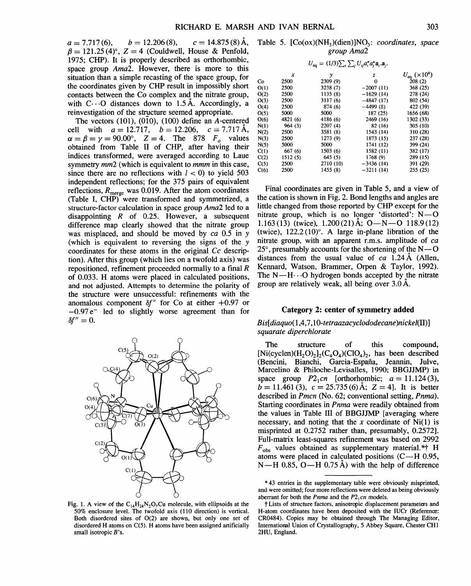$a = 7.717(6), \quad b = 12.206(8), \quad c = 14.875(8)$ Å,  $\beta = 121.25 (4)$ °,  $Z = 4$  (Couldwell, House & Penfold, 1975; CHP). It is properly described as orthorhombic, space group *Ama2.* However, there is more to this situation than a simple recasting of the space group, for the coordinates given by CHP result in impossibly short contacts between the Co complex and the nitrate group, with  $C \cdot \cdot \cdot O$  distances down to 1.5 Å. Accordingly, a reinvestigation of the structure seemed appropriate.

The vectors  $(101)$ ,  $(010)$ ,  $(100)$  define an A-centered cell with  $a = 12.717$ ,  $b = 12.206$ ,  $c = 7.717 \text{ Å}$ ,  $\alpha = \beta = \gamma = 90.00^{\circ}$ ,  $Z = 4$ . The 878  $F<sub>0</sub>$  values obtained from Table II of CHP, after having their indices transformed, were averaged according to Laue symmetry *mm2* (which is equivalent to *mmm* in this case, since there are no reflections with  $l < 0$ ) to yield 503 independent reflections; for the 375 pairs of equivalent reflections,  $R_{\text{merge}}$  was 0.019. After the atom coordinates (Table I, CHP) were transformed and symmetrized, a structure-factor calculation in space group *Ama2* led to a disappointing *R* of 0.25. However, a subsequent difference map clearly showed that the nitrate group was misplaced, and should be moved by *ca* 0.5 in y (which is equivalent to reversing the signs of the y coordinates for these atoms in the original *Cc* description). After this group (which lies on a twofold axis) was repositioned, refinement proceeded normally to a final *R*  of 0.033. H atoms were placed in calculated positions, and not adjusted. Attempts to determine the polarity of the structure were unsuccessful: refinements with the anomalous component  $\delta f''$  for Co at either  $+0.97$  or  $-0.97 e^-$  led to slightly worse agreement than for  $\delta f'' = 0.$ 



Fig. 1. A view of the C<sub>14</sub>H<sub>24</sub>N<sub>2</sub>O<sub>7</sub>Cu molecule, with ellipsoids at the 50% enclosure level. The twofold axis (110 direction) is vertical. Both disordered sites of 0(2) are shown, but only one set of disordered H atoms on C(5). H atoms have been assigned artificially small isotropic B's.

Table 5.  $[Co(ox)(NH<sub>3</sub>)(dien)]NO<sub>3</sub>: coordinates, space$ *group Ama2* 

| $U_{\text{eq}} = (1/3) \sum_{i} \sum_{j} U_{ij} a_{i}^{*} a_{j}^{*} a_{i} a_{j}.$ |          |           |             |                               |  |
|-----------------------------------------------------------------------------------|----------|-----------|-------------|-------------------------------|--|
|                                                                                   | x        | у         | z           | $U_{\text{eq}} (\times 10^4)$ |  |
| C٥                                                                                | 2500     | 2309 (9)  | o           | 208(2)                        |  |
| O(1)                                                                              | 2500     | 3238 (7)  | $-2007(11)$ | 368 (25)                      |  |
| O(2)                                                                              | 2500     | 1135(8)   | $-1629(14)$ | 278 (24)                      |  |
| O(3)                                                                              | 2500     | 3117(6)   | $-4847(17)$ | 802 (54)                      |  |
| O(4)                                                                              | 2500     | 874(6)    | $-4499(8)$  | 422 (39)                      |  |
| O(5)                                                                              | 5000     | 5000      | 187 (25)    | 1656 (68)                     |  |
| O(6)                                                                              | 4821 (6) | 4186 (6)  | 2469 (16)   | 1302 (33)                     |  |
| N(1)                                                                              | 964(3)   | 2207(4)   | 82 (16)     | 305 (10)                      |  |
| N(2)                                                                              | 2500     | 3581 (8)  | 1543 (14)   | 310 (28)                      |  |
| N(3)                                                                              | 2500     | 1273 (9)  | 1873 (15)   | 237 (28)                      |  |
| N(5)                                                                              | 5000     | 5000      | 1741 (12)   | 399 (24)                      |  |
| C(1)                                                                              | 667 (6)  | 1503(6)   | 1582 (11)   | 382 (17)                      |  |
| C(2)                                                                              | 1512(5)  | 645(5)    | 1768 (9)    | 289 (15)                      |  |
| C(5)                                                                              | 2500     | 2710 (10) | $-3436(14)$ | 391 (29)                      |  |
| C(6)                                                                              | 2500     | 1455 (8)  | $-3211(14)$ | 255 (25)                      |  |
|                                                                                   |          |           |             |                               |  |

Final coordinates are given in Table 5, and a view of the cation is shown in Fig. 2. Bond lengths and angles are little changed from those reported by CHP except for the nitrate group, which is no longer 'distorted':  $N-O$ 1.163(13) (twice), 1.200(21) Å:  $O-N-O$  118.9(12) (twice),  $122.2(10)^\circ$ . A large in-plane libration of the nitrate group, with an apparent r.m.s. amplitude of *ca*   $25^{\circ}$ , presumably accounts for the shortening of the N- $\sim$ O distances from the usual value of *ca* 1.24 A (Allen, Kennard, Watson, Brammer, Orpen & Taylor, 1992). The  $N-H \cdots O$  hydrogen bonds accepted by the nitrate group are relatively weak, all being over 3.0 A.

### Category 2: center of symmetry added

## *Bis[diaquo(l,4,7,10-tetraazacyclododecane)nickel(II)] squarate diperchlorate*

The structure of this compound,  $[Ni(cyclen)(H_2O_2)]_2(C_4O_4)(ClO_4)$ , has been described (Bencini, Bianchi, Garcia-Espafia, Jeannin, Julve, Marcelino & Philoche-Levisalles, 1990; BBGJJMP) in space group  $P2_1$ *cn* [orthorhombic;  $a = 11.124(3)$ ,  $b = 11.461(3), c = 25.735(6)$  Å;  $Z = 4$ ]. It is better described in *Pmcn* (No. 62; conventional setting, *Pnma).*  Starting coordinates in *Pnma* were readily obtained from the values in Table III of BBGJJMP [averaging where necessary, and noting that the *x* coordinate of Ni( 1) is misprinted at 0.2752 rather than, presumably, 0.2572]. Full-matrix least-squares refinement was based on 2992  $F_{obs}$  values obtained as supplementary material.\*† H atoms were placed in calculated positions (C-H 0.95,  $N-H$  0.85, O—H 0.75 Å) with the help of difference

<sup>\*</sup> 43 entries in the supplementary table were obviously misprinted, and were omitted; four more reflections were deleted as being obviously aberrant for both the *Pnma* and the  $P2_1cn$  models.

t Lists of structure factors, anisotropic displacement parameters and H-atom coordinates have been deposited with the IUCr (Reference: CR0484). Copies may be obtained through The Managing Editor, International Union of Crystallography, 5 Abbey Square, Chester CHI 2HU, England.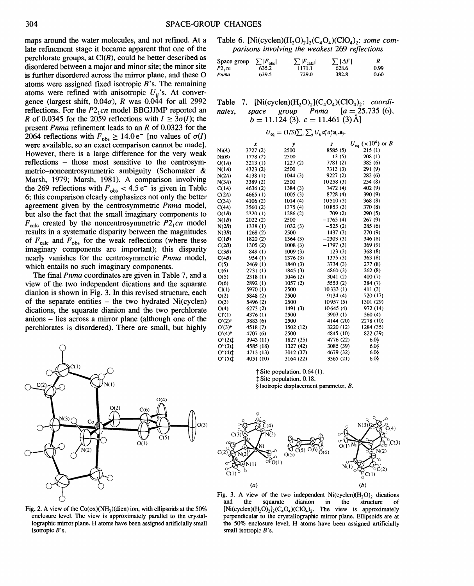maps around the water molecules, and not refined. At a late refinement stage it became apparent that one of the perchlorate groups, at  $Cl(B)$ , could be better described as disordered between a major and minor site; the minor site is further disordered across the mirror plane, and these 0 atoms were assigned fixed isotropic *B's.* The remaining atoms were refined with anisotropic  $U_{ij}$ 's. At convergence (largest shift,  $0.04\sigma$ ), *R* was  $0.044$  for all 2992 reflections. For the P2<sub>1</sub> cn model BBGJJMP reported an *R* of 0.0345 for the 2059 reflections with  $I \geq 3\sigma(I)$ ; the present *Pnma* refinement leads to an *R* of 0.0323 for the 2064 reflections with  $F_{obs} \ge 14.0 e^-$  [no values of  $\sigma(I)$ ] were available, so an exact comparison cannot be made]. However, there is a large difference for the very weak reflections - those most sensitive to the centrosymmetric-noncentrosymmetric ambiguity (Schomaker & Marsh, 1979; Marsh, 1981). A comparison involving the 269 reflections with  $F_{obs}$  < 4.5 e<sup>-</sup> is given in Table 6; this comparison clearly emphasizes not only the better agreement given by the centrosymmetric *Pnma* model, but also the fact that the small imaginary components to  $F_{\text{calc}}$  created by the noncentrosymmetric  $P2_1$ *cn* model results in a systematic disparity between the magnitudes of  $F_{\text{calc}}$  and  $F_{\text{obs}}$  for the weak reflections (where these imaginary components are important); this disparity nearly vanishes for the centrosymmetric *Pnma* model, which entails no such imaginary components.

The final *Pnma* coordinates are given in Table 7, and a view of the two independent dications and the squarate dianion is shown in Fig. 3. In this revised structure, each of the separate entities  $-$  the two hydrated Ni(cyclen) dications, the squarate dianion and the two perchlorate anions - lies across a mirror plane (although one of the perchlorates is disordered). There are small, but highly



Fig. 2. A view of the  $Co(x)(NH<sub>3</sub>)(dien)$  ion, with ellipsoids at the 50% enclosure level. The view is approximately parallel to the crystallographic mirror plane. H atoms have been assigned artificially small isotropic B's.

Table 6. [Ni(cyclen) $(H_2O)_2]_2(C_4O_4)(ClO_4)_2$ : some com*parisons involving the weakest* 269 *reflections* 

| Space group | $\sum  F_{\rm obs} $ | $\sum  F_{\rm calc} $ | $\sum  \Delta F $ |      |
|-------------|----------------------|-----------------------|-------------------|------|
| P2, cn      | 635.2                | 1171.1                | 628.6             | 0.99 |
| Pnma        | 639.5                | 729.0                 | 382.8             | 0.60 |

Table 7.  $[Ni(cyclen)(H_2O)_2](C_4O_4)(ClO_4)_2$ : *coordinates*, *space group Pnma*  $[a = 25.735(6)]$ ,  $a = 25.735(6)$ ,  $\dot{b} = 11.124$  (3),  $c = 11.461$  (3) Å

$$
U_{\text{eq}} = (1/3) \sum_{i} \sum_{j} U_{ij} a_i^* a_j^* a_i \mathbf{a}_j.
$$

|                       | x         | y         | z          | $U_{\text{eq}}^-(\times 10^4)$ or B |
|-----------------------|-----------|-----------|------------|-------------------------------------|
| $\mathrm{Ni}(A)$      | 3727 (2)  | 2500      | 8585 (5)   | 215(1)                              |
| Ni(B)                 | 1778 (2)  | 2500      | 13(5)      | 208(1)                              |
| O(1A)                 | 3213(1)   | 1227(2)   | 7781 (2)   | 385 (6)                             |
| N(1A)                 | 4323 (2)  | 2500      | 7313 (3)   | 291 (9)                             |
| N(24)                 | 4138 (1)  | 1044(3)   | 9227 (2)   | 282 (6)                             |
| N(3A)                 | 3389 (2)  | 2500      | 10258(3)   | 254 (8)                             |
| C(1A)                 | 4636 (2)  | 1384 (3)  | 7472 (4)   | 402 (9)                             |
| C(2A)                 | 4665 (1)  | 1005(3)   | 8728 (4)   | 390 (9)                             |
| C(3A)                 | 4106 (2)  | 1014(4)   | 10510(3)   | 368(8)                              |
| C(4A)                 | 3560 (2)  | 1375 (4)  | 10853(3)   | 370 (8)                             |
| O(1B)                 | 2320 (1)  | 1286 (2)  | 709 (2)    | 290 (5)                             |
| N(1B)                 | 2022 (2)  | 2500      | $-1765(4)$ | 267 (9)                             |
| N(2B)                 | 1338 (1)  | 1032(3)   | $-525(2)$  | 285 (6)                             |
| N(3B)                 | 1268(2)   | 2500      | 1437(3)    | 270 (9)                             |
| C(1B)                 | 1820 (2)  | 1364(3)   | $-2303(3)$ | 346 (8)                             |
| C(2B)                 | 1305(2)   | 1008(3)   | $-1797(3)$ | 369 (9)                             |
| C(3B)                 | 849 (1)   | 1009(3)   | 123(3)     | 368 (8)                             |
| C(4B)                 | 954 (1)   | 1376 (3)  | 1375 (3)   | 363(8)                              |
| C(5)                  | 2469 (1)  | 1840 (3)  | 3734 (3)   | 277(8)                              |
| C(6)                  | 2731 (1)  | 1845 (3)  | 4860 (3)   | 262 (8)                             |
| O(5)                  | 2318 (1)  | 1046(2)   | 3041 (2)   | 400 (7)                             |
| O(6)                  | 2892 (1)  | 1057(2)   | 5553 (2)   | 384 (7)                             |
| Cl(1)                 | 5970 (1)  | 2500      | 10333(1)   | 411 (3)                             |
| O(2)                  | 5848 (2)  | 2500      | 9134 (4)   | 720 (17)                            |
| O(3)                  | 5496 (2)  | 2500      | 10957 (5)  | 1301 (29)                           |
| O(4)                  | 6273 (2)  | 1491(3)   | 10645 (4)  | 972 (14)                            |
| CI'(1)                | 4376 (1)  | 2500      | 3903 (1)   | 560 (4)                             |
| O'(2)                 | 3883 (6)  | 2500      | 4144 (20)  | 2278 (10)                           |
| O'(3)                 | 4518 (7)  | 1502 (12) | 3220 (12)  | 1284 (35)                           |
| O'(4)                 | 4707 (6)  | 2500      | 4845 (10)  | 822 (39)                            |
| $O''(2)$ <sup>t</sup> | 3943 (11) | 1827 (25) | 4776 (22)  | $6.0$ §                             |
| $O''(3)$ ‡            | 4585 (18) | 1327 (42) | 3085 (39)  | $6.0$ §                             |
| $O''(4)$ <sup>t</sup> | 4713 (13) | 3012 (37) | 4679 (32)  | 6.0§                                |
| $O''(5)$ <sup>t</sup> | 4051 (10) | 3164 (22) | 3365 (21)  | 6.08                                |

t Site population, 0.64 (I). t Site population, 0.18.

§Isotropic displacement parameter, B.



Fig. 3. A view of the two independent  $Ni$ (cyclen) $(N_2O)_2$  dications and the squarate dianion in the structure of structure  $[Ni(cyclen)(H_2O_2]<sub>2</sub>(C_4O_4)(ClO_4)$ . The view is approximately perpendicular to the crystallographic mirror plane. Ellipsoids are at the 50% enclosure level; H atoms have been assigned artificially small isotropic B's.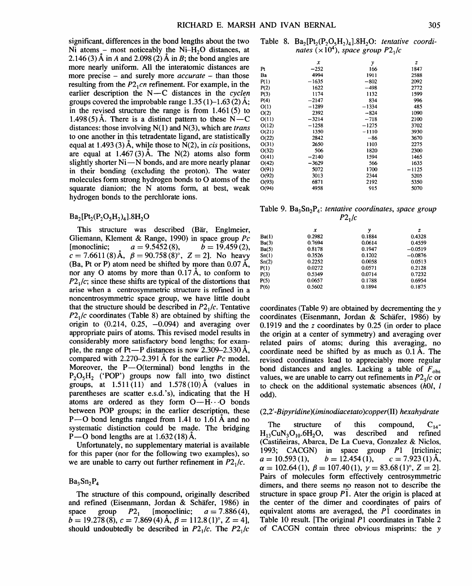significant, differences in the bond lengths about the two Ni atoms – most noticeably the  $Ni-H<sub>2</sub>O$  distances, at 2.146 (3) A in *A* and 2.098 (2) A in *B;* the bond angles are more nearly uniform. All the interatomic distances are more precise – and surely more *accurate* – than those resulting from the  $P2_1$ *cn* refinement. For example, in the earlier description the  $N-C$  distances in the cyclen groups covered the improbable range  $1.35(1)$ –1.63 $(2)$ Å; in the revised structure the range is from 1.461 (5) to 1.498 (5) Å. There is a distinct pattern to these  $N - C$ distances: those involving N(l) and N(3), which are *trans*  to one another in this tetradentate ligand, are statistically equal at  $1.493(3)$  Å, while those to N(2), in *cis* positions, are equal at  $1.467(3)$  Å. The N(2) atoms also form slightly shorter  $Ni - N$  bonds, and are more nearly planar in their bonding (excluding the proton). The water molecules form strong hydrogen bonds to 0 atoms of the squarate dianion; the N atoms form, at best, weak hydrogen bonds to the perchlorate ions.

 $Ba_2[Pt_2(P_2O_5H_2)_4].8H_2O$ 

This structure was described (Bär, Englmeier, Gliemann, Klement & Range, 1990) in space group *Pc*   $[$ monoclinic;  $a = 9.5452(8), \quad b = 19.459(2),$  $c = 7.6611(8)$  Å,  $\beta = 90.758(8)^\circ$ ,  $Z = 2$ ]. No heavy (Ba, Pt or P) atom need be shifted by more than  $0.07 \text{ Å}$ , nor any O atoms by more than  $0.17 \text{ Å}$ , to conform to  $P2<sub>1</sub>/c$ ; since these shifts are typical of the distortions that arise when a centrosymmetric structure is refined in a noncentrosymmetric space group, we have little doubt that the structure should be described in  $P2<sub>1</sub>/c$ . Tentative *P2*1*/c* coordinates (Table 8) are obtained by shifting the origin to  $(0.214, 0.25, -0.094)$  and averaging over appropriate pairs of atoms. This revised model results in considerably more satisfactory bond lengths; for example, the range of Pt-P distances is now  $2.309 - 2.330 \text{ Å}$ , compared with  $2.270-2.391$  Å for the earlier *Pc* model. Moreover, the  $P-O(terminal)$  bond lengths in the  $P_2O_5H_2$  ('POP') groups now fall into two distinct groups, at  $1.511(11)$  and  $1.578(10)$  Å (values in parentheses are scatter e.s.d.'s), indicating that the H atoms are ordered as they form  $O-H\cdots O$  bonds between POP groups; in the earlier description, these P-O bond lengths ranged from 1.41 to 1.61 Å and no systematic distinction could be made. The bridging P $-$ O bond lengths are at 1.632 (18) Å.

Unfortunately, no supplementary material is available for this paper (nor for the following two examples), so we are unable to carry out further refinement in  $P2<sub>1</sub>/c$ .

 $Ba<sub>3</sub>Sn<sub>2</sub>P<sub>4</sub>$ 

The structure of this compound, originally described and refined (Eisenmann, Jordan & Schafer, 1986) in space group  $P2_1$  [monoclinic;  $a = 7.886(4)$ ,  $\vec{b} = 19.278(8)$ ,  $\vec{c} = 7.869(4)$  Å,  $\beta = 112.8(1)^\circ$ ,  $\vec{c} = 4$ , should undoubtedly be described in  $P2_1/c$ . The  $P2_1/c$ 

Table 8.  $Ba_2[Pt_2(P_2O_5H_2)_4]$ .8H<sub>2</sub>O: *tentative coordinates*  $(\times 10^4)$ , *space* group  $P2_1/c$ 

|       | х       | y       | z       |
|-------|---------|---------|---------|
| Pt    | $-252$  | 166     | 1847    |
| Ba    | 4994    | 1911    | 2588    |
| P(1)  | $-1635$ | $-802$  | 2092    |
| P(2)  | 1622    | $-498$  | 2772    |
| P(3)  | 1174    | 1132    | 1599    |
| P(4)  | $-2147$ | 834     | 996     |
| O(1)  | $-1289$ | $-1334$ | 485     |
| O(2)  | 2392    | $-824$  | 1090    |
| O(11) | $-3214$ | $-718$  | 2100    |
| O(12) | $-1258$ | $-1275$ | 3702    |
| O(21) | 1350    | $-1110$ | 3930    |
| O(22) | 2842    | $-86$   | 3670    |
| O(31) | 2650    | 1103    | 2275    |
| O(32) | 506     | 1820    | 2300    |
| O(41) | $-2140$ | 1594    | 1465    |
| O(42) | $-3629$ | 566     | 1635    |
| 0(91) | 5072    | 1700    | $-1125$ |
| O(92) | 3013    | 2344    | 5205    |
| O(93) | 6871    | 2192    | 5350    |
| O(94) | 4958    | 915     | 5070    |
|       |         |         |         |

Table 9. Ba<sub>3</sub>Sn<sub>2</sub>P<sub>4</sub>: *tentative coordinates, space group*  $P2_1/c$ 

|              | x      | y      | z         |
|--------------|--------|--------|-----------|
| <b>Ba(1)</b> | 0.2982 | 0.1884 | 0.4328    |
| Ba(3)        | 0.7694 | 0.0614 | 0.4559    |
| Ba(5)        | 0.8178 | 0.1947 | $-0.0519$ |
| Sn(1)        | 0.3526 | 0.1202 | $-0.0876$ |
| Sn(2)        | 0.2252 | 0.0058 | 0.0513    |
| P(1)         | 0.0272 | 0.0571 | 0.2128    |
| P(3)         | 0.5349 | 0.0714 | 0.7232    |
| P(5)         | 0.0657 | 0.1788 | 0.6954    |
| P(6)         | 0.5602 | 0.1894 | 0.1875    |

coordinates (Table 9) are obtained by decrementing the y coordinates (Eisenmann, Jordan & Schafer, 1986) by 0.1919 and the *z* coordinates by 0.25 (in order to place the origin at a center of symmetry) and averaging over related pairs of atoms; during this averaging, no coordinate need be shifted by as much as 0.1 A. The revised coordinates lead to appreciably more regular bond distances and angles. Lacking a table of  $F_{obs}$ values, we are unable to carry out refinements in  $P2<sub>1</sub>/c$  or to check on the additional systematic absences (hOl, I odd).

## (2,2' *-Bipyridine )(iminodiacetato )copper(II) hexahydrate*

The structure of this compound,  $C_{14}$ -<br>H<sub>13</sub>CuN<sub>3</sub>O<sub>10</sub>.6H<sub>2</sub>O, was described and refined was described and refined (Castifieiras, Abarca, De La Cueva, Gonzalez & Niclos, 1993; CACGN) in space group Pl [triclinic;  $a = 10.593(1),$   $b = 12.454(1),$   $c = 7.923(1)$ Å,  $\alpha = 102.64(1), \ \beta = 107.40(1), \ \gamma = 83.68(1)^\circ, \ Z = 2$ . Pairs of molecules form effectively centrosymmetric dimers, and there seems no reason not to describe the structure in space group  $\overline{P1}$ . Ater the origin is placed at the center of the dimer and coordinates of pairs of equivalent atoms are averaged, the  $P\bar{1}$  coordinates in Table IO result. [The original Pl coordinates in Table 2 of CACGN contain three obvious misprints: the y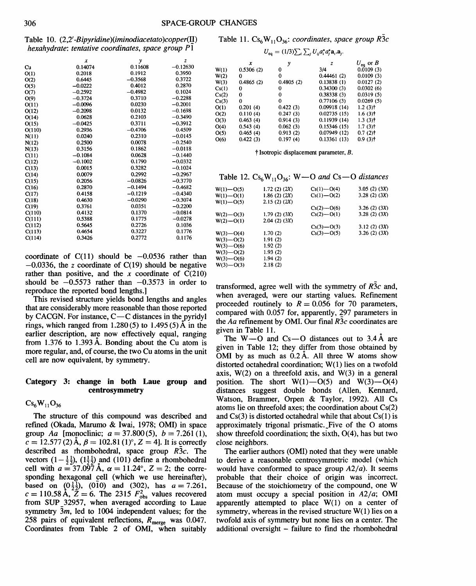Csi

 $O<sub>0</sub>$ 

Table 10. (2,2' *-Bipyridine)(iminodiacetato )copper(!]) hexahydrate: tentative coordinates, space group Pl* 

|        | x         | y         | z          |
|--------|-----------|-----------|------------|
| Cu     | 0.14074   | 0.11608   | $-0.12630$ |
| O(1)   | 0.2018    | 0.1912    | 0.3950     |
| O(2)   | 0.6445    | $-0.3568$ | 0.3722     |
| O(5)   | $-0.0222$ | 0.4012    | 0.2870     |
| O(7)   | $-0.2592$ | $-0.4982$ | 0.1024     |
| O(9)   | $-0.3724$ | 0.3710    | $-0.2288$  |
| 0(11)  | $-0.0096$ | 0.0230    | $-0.2001$  |
| O(12)  | $-0.2098$ | 0.0132    | $-0.1698$  |
| O(14)  | 0.0628    | 0.2103    | $-0.3490$  |
| O(15)  | $-0.0425$ | 0.3711    | $-0.3912$  |
| O(110) | 0.2936    | $-0.4706$ | 0.4509     |
| N(11)  | 0.0240    | 0.2310    | $-0.0145$  |
| N(12)  | 0.2500    | 0.0078    | $-0.2540$  |
| N(13)  | 0.3156    | 0.1862    | $-0.0118$  |
| C(11)  | $-0.1084$ | 0.0628    | $-0.1440$  |
| C(12)  | $-0.1002$ | 0.1790    | $-0.0332$  |
| C(13)  | 0.0015    | 0.3282    | $-0.1024$  |
| C(14)  | 0.0079    | 0.2992    | $-0.2967$  |
| C(15)  | 0.2056    | $-0.0826$ | $-0.3770$  |
| C(16)  | 0.2870    | $-0.1494$ | $-0.4682$  |
| C(17)  | 0.4158    | $-0.1219$ | $-0.4340$  |
| C(18)  | 0.4630    | $-0.0290$ | $-0.3074$  |
| C(19)  | 0.3761    | 0.0351    | $-0.2200$  |
| C(110) | 0.4132    | 0.1370    | $-0.0814$  |
| C(111) | 0.5388    | 0.1775    | $-0.0278$  |
| C(112) | 0.5645    | 0.2726    | 0.1036     |
| C(113) | 0.4654    | 0.3227    | 0.1776     |
| C(114) | 0.3426    | 0.2772    | 0.1176     |
|        |           |           |            |

coordinate of  $C(11)$  should be  $-0.0536$  rather than  $-0.0336$ , the *z* coordinate of C(19) should be negative rather than positive, and the  $x$  coordinate of  $C(210)$ should be  $-0.5573$  rather than  $-0.3573$  in order to reproduce the reported bond lengths.]

This revised structure yields bond lengths and angles that are considerably more reasonable than those reported by CACGN. For instance, C-C distances in the pyridyl rings, which ranged from  $1.280(5)$  to  $1.495(5)$  Å in the earlier description, are now effectively equal, ranging from 1.376 to 1.393 A. Bonding about the Cu atom is more regular, and, of course, the two Cu atoms in the unit cell are now equivalent, by symmetry.

### Category 3: change in both Laue group and centrosymmetry

 $Cs_6W_{11}O_{36}$ 

The structure of this compound was described and refined (Okada, Marumo & lwai, 1978; OMI) in space group *Aa* [monoclinic;  $a = 37.800(5)$ ,  $b = 7.261(1)$ ,  $c = 12.577 (2)$  Å,  $\beta = 102.81 (1)^\circ$ ,  $Z = 4$ . It is correctly described as rhombohedral, space group *R3c.* The vectors  $(1-\frac{1}{2})$ ,  $(1\frac{1}{2}\frac{1}{2})$  and  $(101)$  define a rhombohedral cell with  $a = 37.097$  Å,  $\alpha = 11.24^{\circ}$ ,  $Z = 2$ ; the corresponding hexagonal cell (which we use hereinafter), based on  $(0\frac{1}{2})$ , (010) and (302), has  $a = 7.261$ ,  $c = 110.58 \text{ Å}, Z = 6$ . The 2315  $F_{\text{obs}}^2$  values recovered from SUP\_ 32957, when averaged according to Laue symmetry 3m, led to 1004 independent values; for the 258 pairs of equivalent reflections,  $R_{\text{merge}}$  was 0.047. Coordinates from Table 2 of OMI, when suitably

Table 11. 
$$
Cs_6W_{11}O_{36}
$$
: coordinates, space group  $\overline{RS}$ 

$$
U_{\text{eq}} = (1/3) \sum_i \sum_j U_{ij} a_i^* a_j^* \mathbf{a}_i \mathbf{a}_j.
$$

|       | x         | γ         | z           | $U_{\text{eq}}$ or B |
|-------|-----------|-----------|-------------|----------------------|
| W(1)  | 0.5306(2) | 0         | 3/4         | 0.0109(3)            |
| W(2)  | 0         | 0         | 0.44461(2)  | 0.0109(3)            |
| W(3)  | 0.4865(2) | 0.4805(2) | 0.13838(1)  | 0.0127(2)            |
| Cs(1) | 0         | 0         | 0.34300(3)  | 0.0302(6)            |
| Cs(2) | 0         | 0         | 0.38338(3)  | 0.0319(5)            |
| Cs(3) | 0         | 0         | 0.77106(3)  | 0.0269(5)            |
| O(1)  | 0.201(4)  | 0.422(3)  | 0.09918(14) | $1.2(3)$ t           |
| O(2)  | 0.110(4)  | 0.247(3)  | 0.02735(15) | $1.6(3)$ †           |
| O(3)  | 0.463(4)  | 0.914(3)  | 0.11939(14) | $1.3(3)$ †           |
| O(4)  | 0.543(4)  | 0.062(3)  | 0.15346(15) | $1.7(3)$ t           |
| O(5)  | 0.465(4)  | 0.913(2)  | 0.07949(12) | $0.7(2)$ t           |
| O(6)  | 0.422(3)  | 0.197(4)  | 0.13361(13) | $0.9(3)$ t           |

t Isotropic displacement parameter, B.

| Table 12. $\text{Cs}_6\text{W}_{11}\text{O}_{36}$ : W-O and Cs-O distances |  |  |
|----------------------------------------------------------------------------|--|--|
|----------------------------------------------------------------------------|--|--|

| $W(1) - O(5)$ | 1.72(2)(2X) | $Cs(1) - O(4)$ | 3.05(2)(3X) |
|---------------|-------------|----------------|-------------|
| $W(1) - O(1)$ | 1.86(2)(2X) | $Cs(1) - O(2)$ | 3.28(2)(3X) |
| $W(1) - O(5)$ | 2.15(2)(2X) |                |             |
|               |             | $Cs(2) - O(6)$ | 3.26(2)(3X) |
| $W(2) - O(3)$ | 1.79(2)(3X) | $Cs(2) - O(1)$ | 3.28(2)(3X) |
| $W(2) - O(1)$ | 2.04(2)(3X) |                |             |
|               |             | $Cs(3) - O(3)$ | 3.12(2)(3X) |
| $W(3) - O(4)$ | 1.70(2)     | $Cs(3) - O(5)$ | 3.26(2)(3X) |
| $W(3) - O(2)$ | 1.91(2)     |                |             |
| $W(3) - O(6)$ | 1.92(2)     |                |             |
| $W(3) - O(2)$ | 1.93(2)     |                |             |
| $W(3) - O(6)$ | 1.94(2)     |                |             |
| $W(3) - O(3)$ | 2.18(2)     |                |             |
|               |             |                |             |

transformed, agree well with the symmetry of *R3c* and, when averaged, were our starting values. Refinement proceeded routinely to  $R = 0.056$  for 70 parameters, compared with  $0.057$  for, apparently,  $297$  parameters in the *Aa* refinement by OMI. Our final *R3c* coordinates are given in Table 11.

The  $W$ —O and  $Cs$ —O distances out to 3.4 Å are given in Table 12; they differ from those obtained by OMI by as much as  $0.2 \text{ Å}$ . All three W atoms show distorted octahedral coordination; W(l) lies on a twofold axis,  $W(2)$  on a threefold axis, and  $W(3)$  in a general position. The short  $W(1)$  -O(5) and  $W(3)$  -O(4) distances suggest double bonds (Allen, Kennard, Watson, Brammer, Orpen & Taylor, 1992). All Cs atoms lie on threefold axes; the coordination about Cs(2) and  $Cs(3)$  is distorted octahedral while that about  $Cs(1)$  is approximately trigonal prismatic. \_Five of the 0 atoms show threefold coordination; the sixth, 0(4), has but two close neighbors.

The earlier authors (OMI) noted that they were unable to derive a reasonable centrosymmetric model (which would have conformed to space group *A2/a).* It seems probable that their choice of origin was incorrect. Because of the stoichiometry of the compound, one W atom must occupy a special position in *A2/a;* OMI apparently attempted to place W(l) on a center of symmetry, whereas in the revised structure  $W(1)$  lies on a twofold axis of symmetry but none lies on a center. The additional oversight - failure to find the rhombohedral